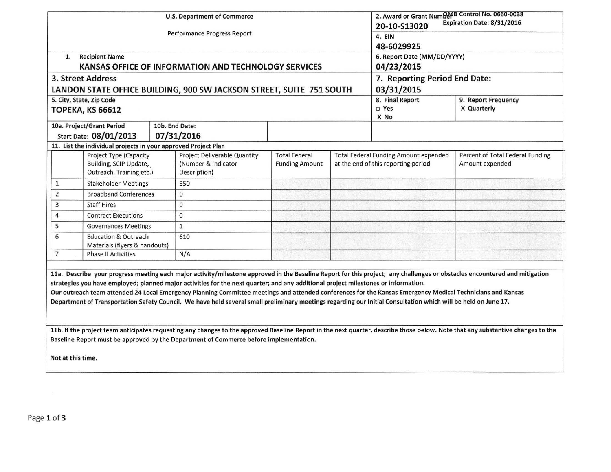|                   |                                                                              |  | <b>U.S. Department of Commerce</b><br><b>Performance Progress Report</b>                                                                                                                                                                                                                                                                                                                                                                                           | 2. Award or Grant Number B Control No. 0660-0038<br>Expiration Date: 8/31/2016<br>20-10-S13020<br>4. EIN<br>48-6029925 |                                                                                     |             |                                                                                                                                                                                 |
|-------------------|------------------------------------------------------------------------------|--|--------------------------------------------------------------------------------------------------------------------------------------------------------------------------------------------------------------------------------------------------------------------------------------------------------------------------------------------------------------------------------------------------------------------------------------------------------------------|------------------------------------------------------------------------------------------------------------------------|-------------------------------------------------------------------------------------|-------------|---------------------------------------------------------------------------------------------------------------------------------------------------------------------------------|
| 1.                | <b>Recipient Name</b>                                                        |  | KANSAS OFFICE OF INFORMATION AND TECHNOLOGY SERVICES                                                                                                                                                                                                                                                                                                                                                                                                               | 6. Report Date (MM/DD/YYYY)<br>04/23/2015                                                                              |                                                                                     |             |                                                                                                                                                                                 |
|                   | 3. Street Address                                                            |  |                                                                                                                                                                                                                                                                                                                                                                                                                                                                    | 7. Reporting Period End Date:                                                                                          |                                                                                     |             |                                                                                                                                                                                 |
|                   | 5. City, State, Zip Code                                                     |  | LANDON STATE OFFICE BUILDING, 900 SW JACKSON STREET, SUITE 751 SOUTH                                                                                                                                                                                                                                                                                                                                                                                               | 03/31/2015<br>8. Final Report<br>9. Report Frequency                                                                   |                                                                                     |             |                                                                                                                                                                                 |
|                   | <b>ТОРЕКА, КЅ 66612</b>                                                      |  |                                                                                                                                                                                                                                                                                                                                                                                                                                                                    |                                                                                                                        | □ Yes<br>X No                                                                       | X Quarterly |                                                                                                                                                                                 |
|                   | 10a. Project/Grant Period<br>Start Date: 08/01/2013                          |  | 10b. End Date:<br>07/31/2016                                                                                                                                                                                                                                                                                                                                                                                                                                       |                                                                                                                        |                                                                                     |             |                                                                                                                                                                                 |
|                   | 11. List the individual projects in your approved Project Plan               |  |                                                                                                                                                                                                                                                                                                                                                                                                                                                                    |                                                                                                                        |                                                                                     |             |                                                                                                                                                                                 |
|                   | Project Type (Capacity<br>Building, SCIP Update,<br>Outreach, Training etc.) |  | Project Deliverable Quantity<br>(Number & Indicator)<br>Description)                                                                                                                                                                                                                                                                                                                                                                                               | <b>Total Federal</b><br><b>Funding Amount</b>                                                                          | <b>Total Federal Funding Amount expended</b><br>at the end of this reporting period |             | Percent of Total Federal Funding<br>Amount expended                                                                                                                             |
| $\mathbf{1}$      | <b>Stakeholder Meetings</b>                                                  |  | 550                                                                                                                                                                                                                                                                                                                                                                                                                                                                |                                                                                                                        |                                                                                     |             |                                                                                                                                                                                 |
| 2                 | <b>Broadband Conferences</b>                                                 |  | 0                                                                                                                                                                                                                                                                                                                                                                                                                                                                  |                                                                                                                        |                                                                                     |             |                                                                                                                                                                                 |
| 3                 | <b>Staff Hires</b>                                                           |  | $\mathbf{0}$                                                                                                                                                                                                                                                                                                                                                                                                                                                       |                                                                                                                        |                                                                                     |             |                                                                                                                                                                                 |
| 4                 | <b>Contract Executions</b>                                                   |  | $\mathbf{0}$                                                                                                                                                                                                                                                                                                                                                                                                                                                       |                                                                                                                        |                                                                                     |             |                                                                                                                                                                                 |
| 5                 | <b>Governances Meetings</b>                                                  |  | $\mathbf{1}$                                                                                                                                                                                                                                                                                                                                                                                                                                                       |                                                                                                                        |                                                                                     |             |                                                                                                                                                                                 |
| 6                 | <b>Education &amp; Outreach</b><br>Materials (flyers & handouts)             |  | 610                                                                                                                                                                                                                                                                                                                                                                                                                                                                |                                                                                                                        |                                                                                     |             |                                                                                                                                                                                 |
| $\overline{7}$    | <b>Phase II Activities</b>                                                   |  | N/A                                                                                                                                                                                                                                                                                                                                                                                                                                                                |                                                                                                                        |                                                                                     |             |                                                                                                                                                                                 |
|                   |                                                                              |  | strategies you have employed; planned major activities for the next quarter; and any additional project milestones or information.<br>Our outreach team attended 24 Local Emergency Planning Committee meetings and attended conferences for the Kansas Emergency Medical Technicians and Kansas<br>Department of Transportation Safety Council. We have held several small preliminary meetings regarding our Initial Consultation which will be held on June 17. |                                                                                                                        |                                                                                     |             | 11a. Describe your progress meeting each major activity/milestone approved in the Baseline Report for this project; any challenges or obstacles encountered and mitigation      |
| Not at this time. |                                                                              |  | Baseline Report must be approved by the Department of Commerce before implementation.                                                                                                                                                                                                                                                                                                                                                                              |                                                                                                                        |                                                                                     |             | 11b. If the project team anticipates requesting any changes to the approved Baseline Report in the next quarter, describe those below. Note that any substantive changes to the |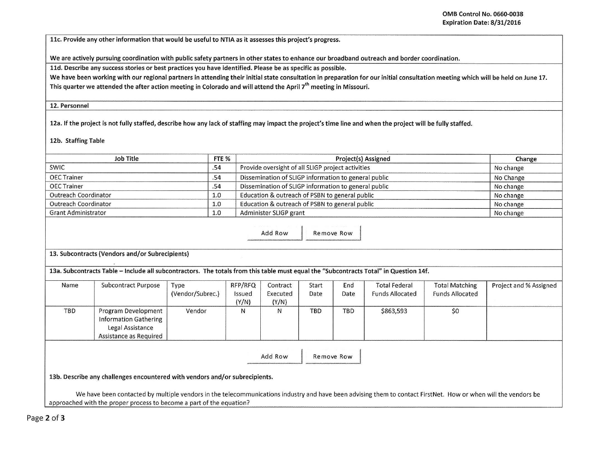llc. Provide any other information that would be useful to NTIA as it assesses this project's progress.

We are actively pursuing coordination with public safety partners in other states to enhance our broadband outreach and border coordination.

lld. Describe any success stories or best practices you have identified. Please be as specific as possible.

We have been working with our regional partners in attending their initial state consultation in preparation for our initial consultation meeting which will be held on June 17. This quarter we attended the after action meeting in Colorado and will attend the April *ih* meeting in Missouri.

## 12. Personnel

12a. If the project is not fully staffed, describe how any lack of staffing may impact the project's time line and when the project will be fully staffed.

12b. Staffing Table

| <b>Job Title</b>                   |                                                                                                                                                                                                                                        |                  | FTE %           |                                                      | Change     |            |                        |                        |                        |
|------------------------------------|----------------------------------------------------------------------------------------------------------------------------------------------------------------------------------------------------------------------------------------|------------------|-----------------|------------------------------------------------------|------------|------------|------------------------|------------------------|------------------------|
| <b>SWIC</b>                        |                                                                                                                                                                                                                                        |                  |                 | Provide oversight of all SLIGP project activities    |            |            |                        |                        | No change              |
| <b>OEC Trainer</b>                 |                                                                                                                                                                                                                                        | .54              |                 | Dissemination of SLIGP information to general public |            |            |                        |                        | No Change              |
| <b>OEC Trainer</b>                 |                                                                                                                                                                                                                                        | .54              |                 | Dissemination of SLIGP information to general public |            |            |                        |                        | No change              |
| Outreach Coordinator               |                                                                                                                                                                                                                                        |                  |                 | Education & outreach of PSBN to general public       | No change  |            |                        |                        |                        |
| <b>Outreach Coordinator</b><br>1.0 |                                                                                                                                                                                                                                        |                  |                 | Education & outreach of PSBN to general public       | No change  |            |                        |                        |                        |
| <b>Grant Administrator</b>         |                                                                                                                                                                                                                                        |                  |                 | Administer SLIGP grant                               | No change  |            |                        |                        |                        |
|                                    | 13. Subcontracts (Vendors and/or Subrecipients)                                                                                                                                                                                        |                  |                 | Add Row                                              |            | Remove Row |                        |                        |                        |
|                                    | 13a. Subcontracts Table - Include all subcontractors. The totals from this table must equal the "Subcontracts Total" in Question 14f.                                                                                                  |                  |                 |                                                      |            |            |                        |                        |                        |
| Name                               | Subcontract Purpose                                                                                                                                                                                                                    | Type             | RFP/RFQ         | Contract                                             | Start      | End        | <b>Total Federal</b>   | <b>Total Matching</b>  | Project and % Assigned |
|                                    |                                                                                                                                                                                                                                        | (Vendor/Subrec.) | Issued<br>(Y/N) | Executed<br>(Y/N)                                    | Date       | Date       | <b>Funds Allocated</b> | <b>Funds Allocated</b> |                        |
| <b>TBD</b>                         | Program Development<br><b>Information Gathering</b><br>Legal Assistance<br>Assistance as Required                                                                                                                                      | Vendor           | N               | N                                                    | <b>TBD</b> | <b>TBD</b> | \$863,593              | \$0                    |                        |
|                                    |                                                                                                                                                                                                                                        |                  |                 | Add Row                                              |            | Remove Row |                        |                        |                        |
|                                    | 13b. Describe any challenges encountered with vendors and/or subrecipients.                                                                                                                                                            |                  |                 |                                                      |            |            |                        |                        |                        |
|                                    | We have been contacted by multiple vendors in the telecommunications industry and have been advising them to contact FirstNet. How or when will the vendors be<br>approached with the proper process to become a part of the equation? |                  |                 |                                                      |            |            |                        |                        |                        |

Page 2 of 3